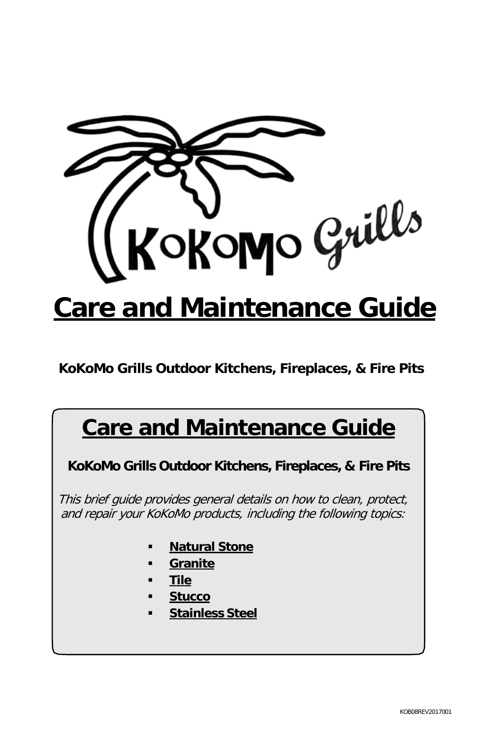

**KoKoMo Grills Outdoor Kitchens, Fireplaces, & Fire Pits**

# **Care and Maintenance Guide**

**KoKoMo Grills Outdoor Kitchens, Fireplaces, & Fire Pits**

This brief guide provides general details on how to clean, protect, and repair your KoKoMo products, including the following topics:

- **Natural Stone**
- **Granite**
- **Tile**
- **Stucco**
- **Stainless Steel**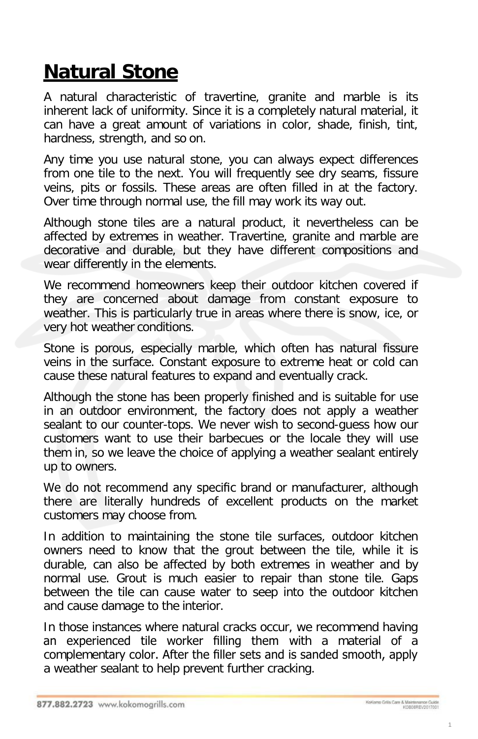# **Natural Stone**

A natural characteristic of travertine, granite and marble is its inherent lack of uniformity. Since it is a completely natural material, it can have a great amount of variations in color, shade, finish, tint, hardness, strength, and so on.

Any time you use natural stone, you can always expect differences from one tile to the next. You will frequently see dry seams, fissure veins, pits or fossils. These areas are often filled in at the factory. Over time through normal use, the fill may work its way out.

Although stone tiles are a natural product, it nevertheless can be affected by extremes in weather. Travertine, granite and marble are decorative and durable, but they have different compositions and wear differently in the elements.

We recommend homeowners keep their outdoor kitchen covered if they are concerned about damage from constant exposure to weather. This is particularly true in areas where there is snow, ice, or very hot weather conditions.

Stone is porous, especially marble, which often has natural fissure veins in the surface. Constant exposure to extreme heat or cold can cause these natural features to expand and eventually crack.

Although the stone has been properly finished and is suitable for use in an outdoor environment, the factory does not apply a weather sealant to our counter-tops. We never wish to second-guess how our customers want to use their barbecues or the locale they will use them in, so we leave the choice of applying a weather sealant entirely up to owners.

We do not recommend any specific brand or manufacturer, although there are literally hundreds of excellent products on the market customers may choose from.

In addition to maintaining the stone tile surfaces, outdoor kitchen owners need to know that the grout between the tile, while it is durable, can also be affected by both extremes in weather and by normal use. Grout is much easier to repair than stone tile. Gaps between the tile can cause water to seep into the outdoor kitchen and cause damage to the interior.

In those instances where natural cracks occur, we recommend having an experienced tile worker filling them with a material of a complementary color. After the filler sets and is sanded smooth, apply a weather sealant to help prevent further cracking.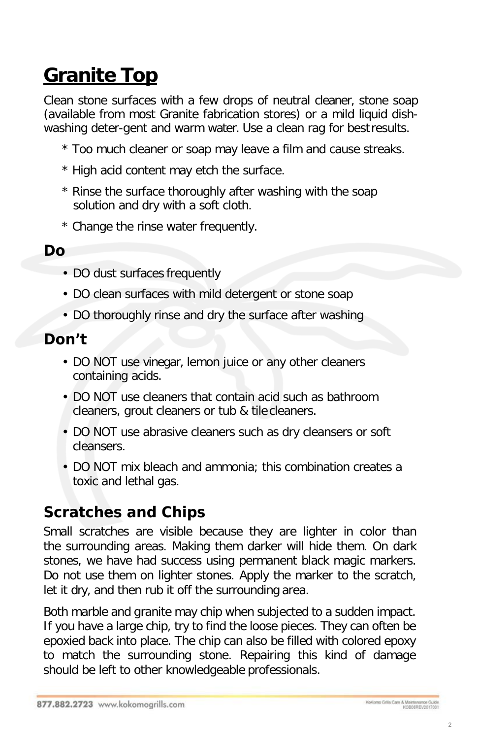# **Granite Top**

Clean stone surfaces with a few drops of neutral cleaner, stone soap (available from most Granite fabrication stores) or a mild liquid dishwashing deter-gent and warm water. Use a clean rag for bestresults.

- \* Too much cleaner or soap may leave a film and cause streaks.
- \* High acid content may etch the surface.
- \* Rinse the surface thoroughly after washing with the soap solution and dry with a soft cloth.
- \* Change the rinse water frequently.

### *Do*

- DO dust surfaces frequently
- DO clean surfaces with mild detergent or stone soap
- DO thoroughly rinse and dry the surface after washing

### *Don't*

- DO NOT use vinegar, lemon juice or any other cleaners containing acids.
- DO NOT use cleaners that contain acid such as bathroom cleaners, grout cleaners or tub & tile cleaners.
- DO NOT use abrasive cleaners such as dry cleansers or soft cleansers.
- DO NOT mix bleach and ammonia; this combination creates a toxic and lethal gas.

## *Scratches and Chips*

Small scratches are visible because they are lighter in color than the surrounding areas. Making them darker will hide them. On dark stones, we have had success using permanent black magic markers. Do not use them on lighter stones. Apply the marker to the scratch, let it dry, and then rub it off the surrounding area.

Both marble and granite may chip when subjected to a sudden impact. If you have a large chip, try to find the loose pieces. They can often be epoxied back into place. The chip can also be filled with colored epoxy to match the surrounding stone. Repairing this kind of damage should be left to other knowledgeable professionals.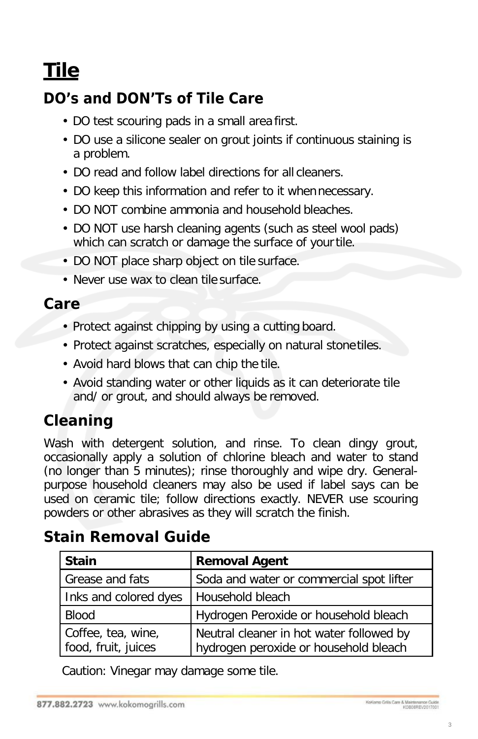# **Tile**

## *DO's and DON'Ts of Tile Care*

- DO test scouring pads in a small area first.
- DO use a silicone sealer on grout joints if continuous staining is a problem.
- DO read and follow label directions for all cleaners.
- DO keep this information and refer to it whennecessary.
- DO NOT combine ammonia and household bleaches.
- DO NOT use harsh cleaning agents (such as steel wool pads) which can scratch or damage the surface of your tile.
- DO NOT place sharp object on tile surface.
- Never use wax to clean tile surface.

### *Care*

- Protect against chipping by using a cutting board.
- Protect against scratches, especially on natural stone tiles.
- Avoid hard blows that can chip the tile.
- Avoid standing water or other liquids as it can deteriorate tile and/ or grout, and should always be removed.

## *Cleaning*

Wash with detergent solution, and rinse. To clean dingy grout, occasionally apply a solution of chlorine bleach and water to stand (no longer than 5 minutes); rinse thoroughly and wipe dry. Generalpurpose household cleaners may also be used if label says can be used on ceramic tile; follow directions exactly. NEVER use scouring powders or other abrasives as they will scratch the finish.

## *Stain Removal Guide*

| <b>Stain</b>                              | <b>Removal Agent</b>                                                              |
|-------------------------------------------|-----------------------------------------------------------------------------------|
| <b>Grease and fats</b>                    | Soda and water or commercial spot lifter                                          |
| Inks and colored dyes                     | Household bleach                                                                  |
| <b>Blood</b>                              | Hydrogen Peroxide or household bleach                                             |
| Coffee, tea, wine,<br>food, fruit, juices | Neutral cleaner in hot water followed by<br>hydrogen peroxide or household bleach |

Caution: Vinegar may damage some tile.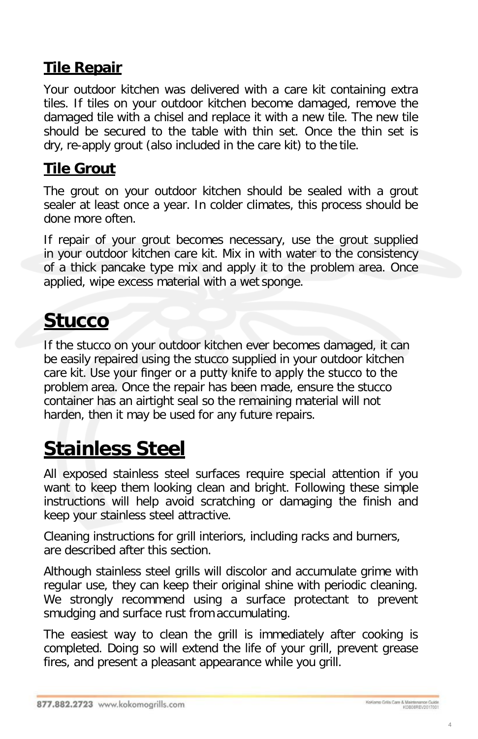### **Tile Repair**

Your outdoor kitchen was delivered with a care kit containing extra tiles. If tiles on your outdoor kitchen become damaged, remove the damaged tile with a chisel and replace it with a new tile. The new tile should be secured to the table with thin set. Once the thin set is dry, re-apply grout (also included in the care kit) to the tile.

## **Tile Grout**

The grout on your outdoor kitchen should be sealed with a grout sealer at least once a year. In colder climates, this process should be done more often.

If repair of your grout becomes necessary, use the grout supplied in your outdoor kitchen care kit. Mix in with water to the consistency of a thick pancake type mix and apply it to the problem area. Once applied, wipe excess material with a wet sponge.

# **Stucco**

If the stucco on your outdoor kitchen ever becomes damaged, it can be easily repaired using the stucco supplied in your outdoor kitchen care kit. Use your finger or a putty knife to apply the stucco to the problem area. Once the repair has been made, ensure the stucco container has an airtight seal so the remaining material will not harden, then it may be used for any future repairs.

# **Stainless Steel**

All exposed stainless steel surfaces require special attention if you want to keep them looking clean and bright. Following these simple instructions will help avoid scratching or damaging the finish and keep your stainless steel attractive.

Cleaning instructions for grill interiors, including racks and burners, are described after this section.

Although stainless steel grills will discolor and accumulate grime with regular use, they can keep their original shine with periodic cleaning. We strongly recommend using a surface protectant to prevent smudging and surface rust from accumulating.

The easiest way to clean the grill is immediately after cooking is completed. Doing so will extend the life of your grill, prevent grease fires, and present a pleasant appearance while you grill.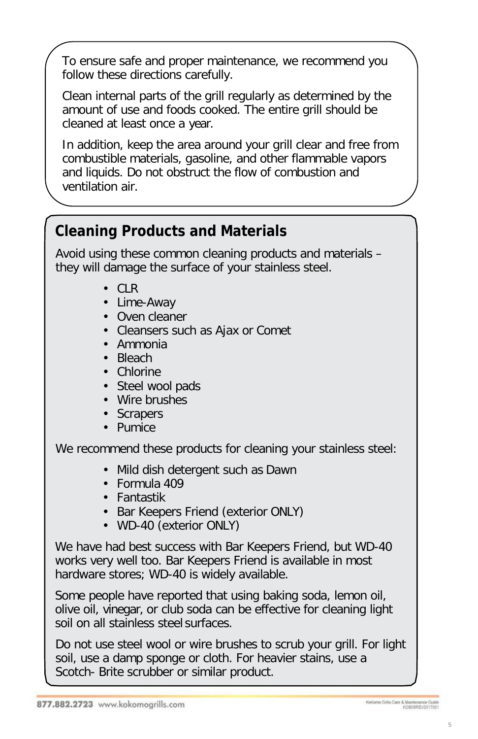To ensure safe and proper maintenance, we recommend you follow these directions carefully.

Clean internal parts of the grill regularly as determined by the amount of use and foods cooked. The entire grill should be cleaned at least once a year.

In addition, keep the area around your grill clear and free from combustible materials, gasoline, and other flammable vapors and liquids. Do not obstruct the flow of combustion and ventilation air.

## *Cleaning Products and Materials*

Avoid using these common cleaning products and materials – they will damage the surface of your stainless steel.

- CLR
- Lime-Away
- Oven cleaner
- Cleansers such as Ajax or Comet
- Ammonia
- Bleach
- Chlorine
- Steel wool pads
- Wire brushes
- Scrapers
- Pumice

We recommend these products for cleaning your stainless steel:

- Mild dish detergent such as Dawn
- Formula 409
- Fantastik
- Bar Keepers Friend (exterior ONLY)
- WD-40 (exterior ONLY)

We have had best success with Bar Keepers Friend, but WD-40 works very well too. Bar Keepers Friend is available in most hardware stores; WD-40 is widely available.

Some people have reported that using baking soda, lemon oil, olive oil, vinegar, or club soda can be effective for cleaning light soil on all stainless steel surfaces.

Do not use steel wool or wire brushes to scrub your grill. For light soil, use a damp sponge or cloth. For heavier stains, use a Scotch- Brite scrubber or similar product.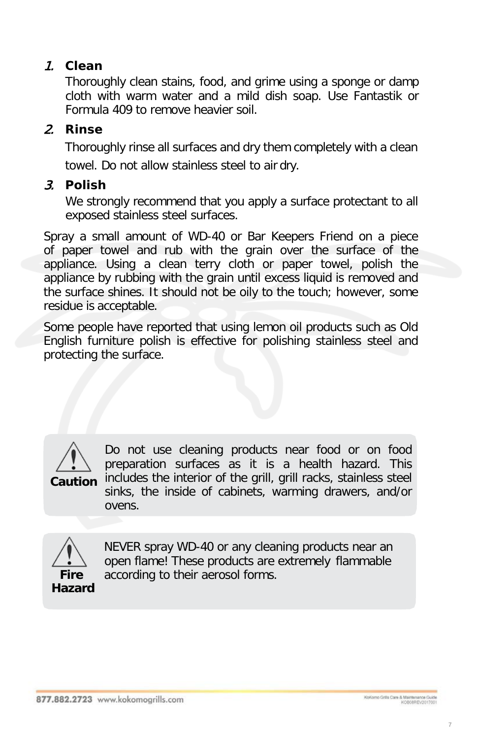#### 1. *Clean*

Thoroughly clean stains, food, and grime using a sponge or damp cloth with warm water and a mild dish soap. Use Fantastik or Formula 409 to remove heavier soil.

#### 2. *Rinse*

Thoroughly rinse all surfaces and dry them completely with a clean towel. Do not allow stainless steel to air dry.

#### 3. *Polish*

We strongly recommend that you apply a surface protectant to all exposed stainless steel surfaces.

Spray a small amount of WD-40 or Bar Keepers Friend on a piece of paper towel and rub with the grain over the surface of the appliance. Using a clean terry cloth or paper towel, polish the appliance by rubbing with the grain until excess liquid is removed and the surface shines. It should not be oily to the touch; however, some residue is acceptable.

Some people have reported that using lemon oil products such as Old English furniture polish is effective for polishing stainless steel and protecting the surface.



Do not use cleaning products near food or on food preparation surfaces as it is a health hazard. This includes the interior of the grill, grill racks, stainless steel sinks, the inside of cabinets, warming drawers, and/or ovens.



NEVER spray WD-40 or any cleaning products near an open flame! These products are extremely flammable **Fire** according to their aerosol forms.